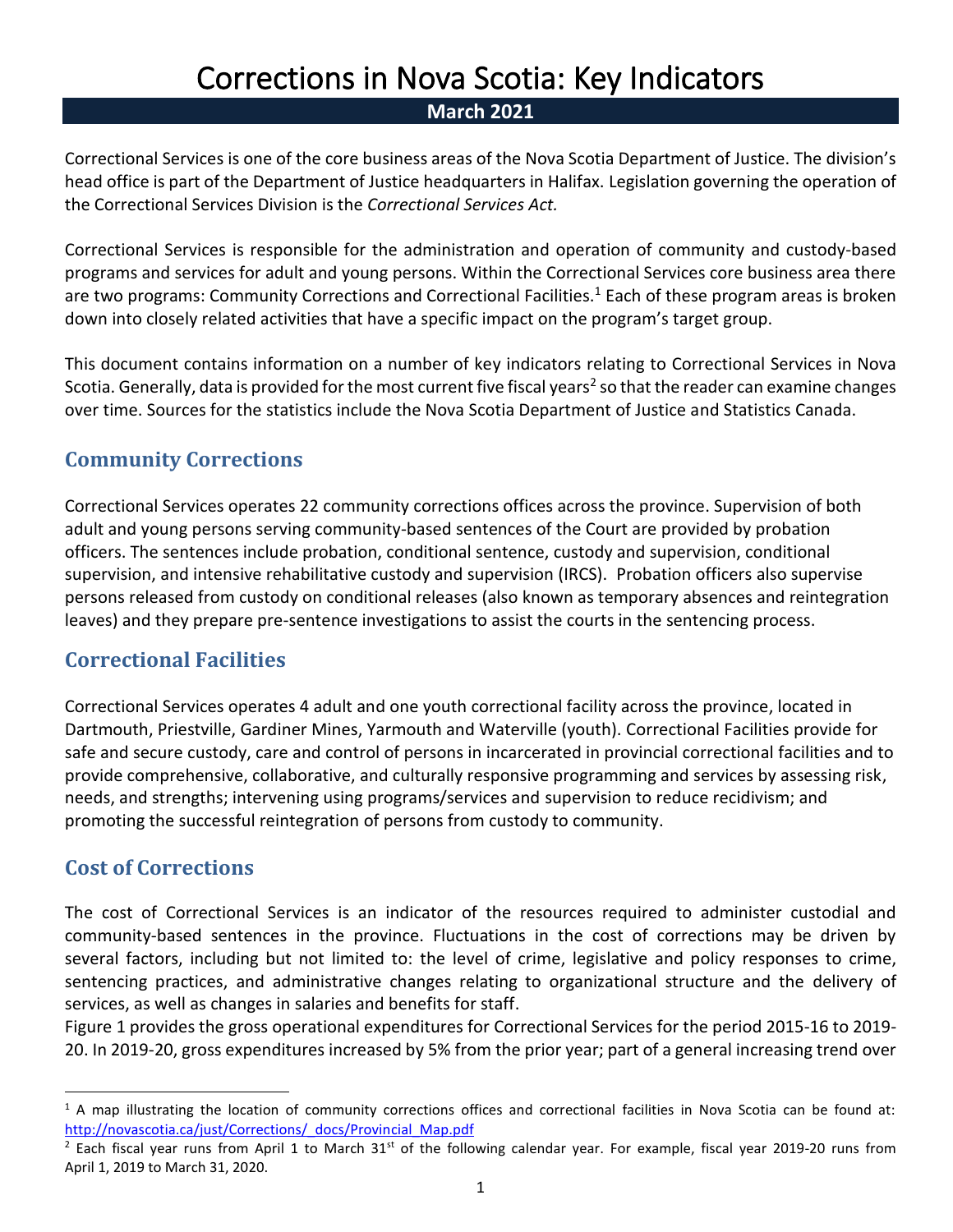# Corrections in Nova Scotia: Key Indicators

#### **March 2021**

Correctional Services is one of the core business areas of the Nova Scotia Department of Justice. The division's head office is part of the Department of Justice headquarters in Halifax. Legislation governing the operation of the Correctional Services Division is the *Correctional Services Act.*

Correctional Services is responsible for the administration and operation of community and custody-based programs and services for adult and young persons. Within the Correctional Services core business area there are two programs: Community Corrections and Correctional Facilities.<sup>1</sup> Each of these program areas is broken down into closely related activities that have a specific impact on the program's target group.

This document contains information on a number of key indicators relating to Correctional Services in Nova Scotia. Generally, data is provided for the most current five fiscal years<sup>2</sup> so that the reader can examine changes over time. Sources for the statistics include the Nova Scotia Department of Justice and Statistics Canada.

## **Community Corrections**

Correctional Services operates [22 community corrections offices across the province.](http://novascotia.ca/just/Corrections/community_offices.asp) Supervision of both adult and young persons serving community-based sentences of the Court are provided by probation officers. The sentences include probation, conditional sentence, custody and supervision, conditional supervision, and intensive rehabilitative custody and supervision (IRCS). Probation officers also supervise persons released from custody on conditional releases (also known as temporary absences and reintegration leaves) and they prepare pre-sentence investigations to assist the courts in the sentencing process.

## **Correctional Facilities**

Correctional Services operates 4 adult and one youth correctional facility across the province, located in Dartmouth, Priestville, Gardiner Mines, Yarmouth and Waterville (youth). Correctional Facilities provide for safe and secure custody, care and control of persons in incarcerated in provincial correctional facilities and to provide comprehensive, collaborative, and culturally responsive programming and services by assessing risk, needs, and strengths; intervening using programs/services and supervision to reduce recidivism; and promoting the successful reintegration of persons from custody to community.

## **Cost of Corrections**

The cost of Correctional Services is an indicator of the resources required to administer custodial and community-based sentences in the province. Fluctuations in the cost of corrections may be driven by several factors, including but not limited to: the level of crime, legislative and policy responses to crime, sentencing practices, and administrative changes relating to organizational structure and the delivery of services, as well as changes in salaries and benefits for staff.

Figure 1 provides the gross operational expenditures for Correctional Services for the period 2015-16 to 2019- 20. In 2019-20, gross expenditures increased by 5% from the prior year; part of a general increasing trend over

 $1$  A map illustrating the location of community corrections offices and correctional facilities in Nova Scotia can be found at: [http://novascotia.ca/just/Corrections/\\_docs/Provincial\\_Map.pdf](http://novascotia.ca/just/Corrections/_docs/Provincial_Map.pdf)

 $2$  Each fiscal year runs from April 1 to March 31st of the following calendar year. For example, fiscal year 2019-20 runs from April 1, 2019 to March 31, 2020.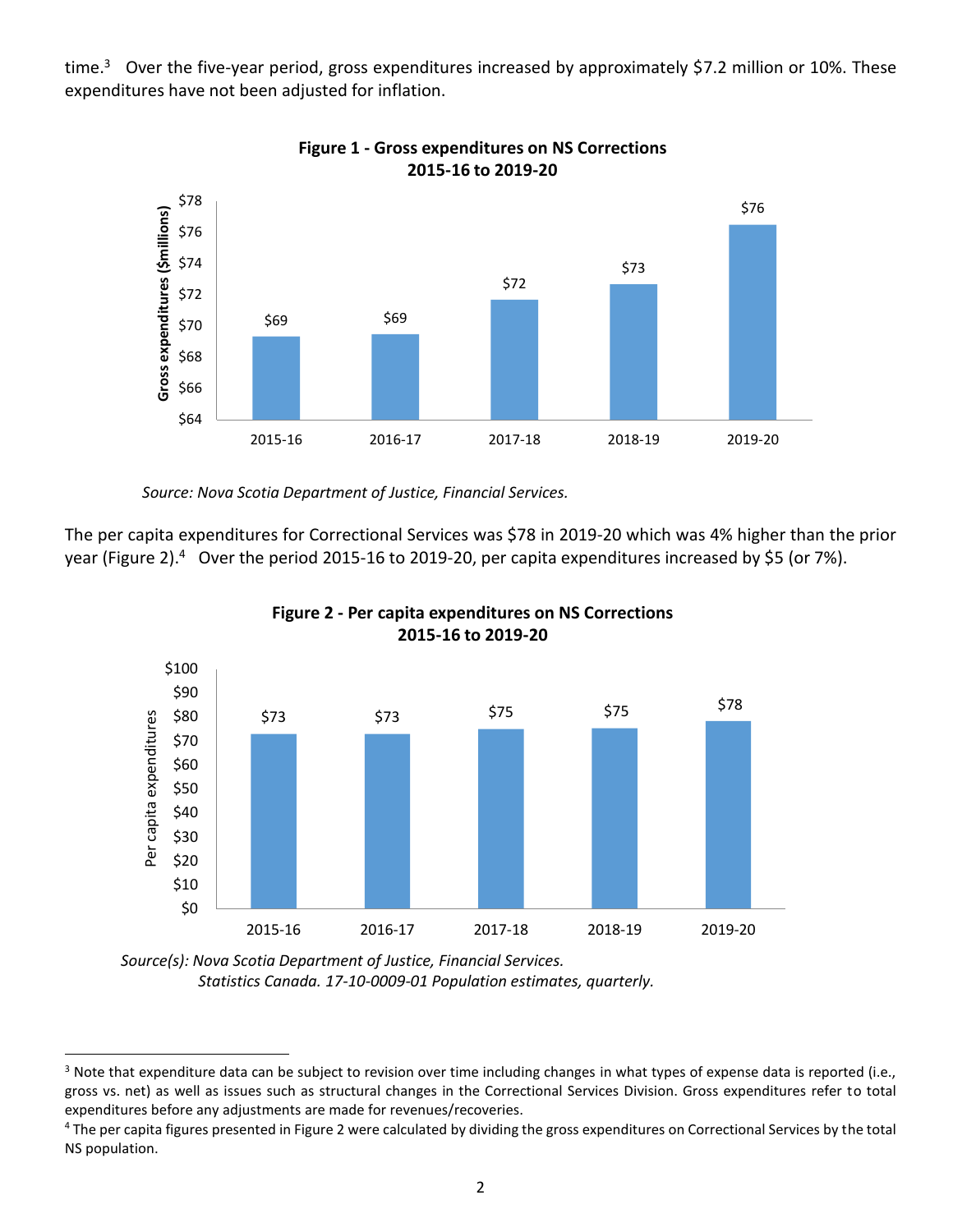time.<sup>3</sup> Over the five-year period, gross expenditures increased by approximately \$7.2 million or 10%. These expenditures have not been adjusted for inflation.



**Figure 1 - Gross expenditures on NS Corrections 2015-16 to 2019-20**

 *Source: Nova Scotia Department of Justice, Financial Services.*

The per capita expenditures for Correctional Services was \$78 in 2019-20 which was 4% higher than the prior year (Figure 2).<sup>4</sup> Over the period 2015-16 to 2019-20, per capita expenditures increased by \$5 (or 7%).





*Source(s): Nova Scotia Department of Justice, Financial Services. Statistics Canada. 17-10-0009-01 Population estimates, quarterly.* 

<sup>&</sup>lt;sup>3</sup> Note that expenditure data can be subject to revision over time including changes in what types of expense data is reported (i.e., gross vs. net) as well as issues such as structural changes in the Correctional Services Division. Gross expenditures refer to total expenditures before any adjustments are made for revenues/recoveries.

<sup>&</sup>lt;sup>4</sup> The per capita figures presented in Figure 2 were calculated by dividing the gross expenditures on Correctional Services by the total NS population.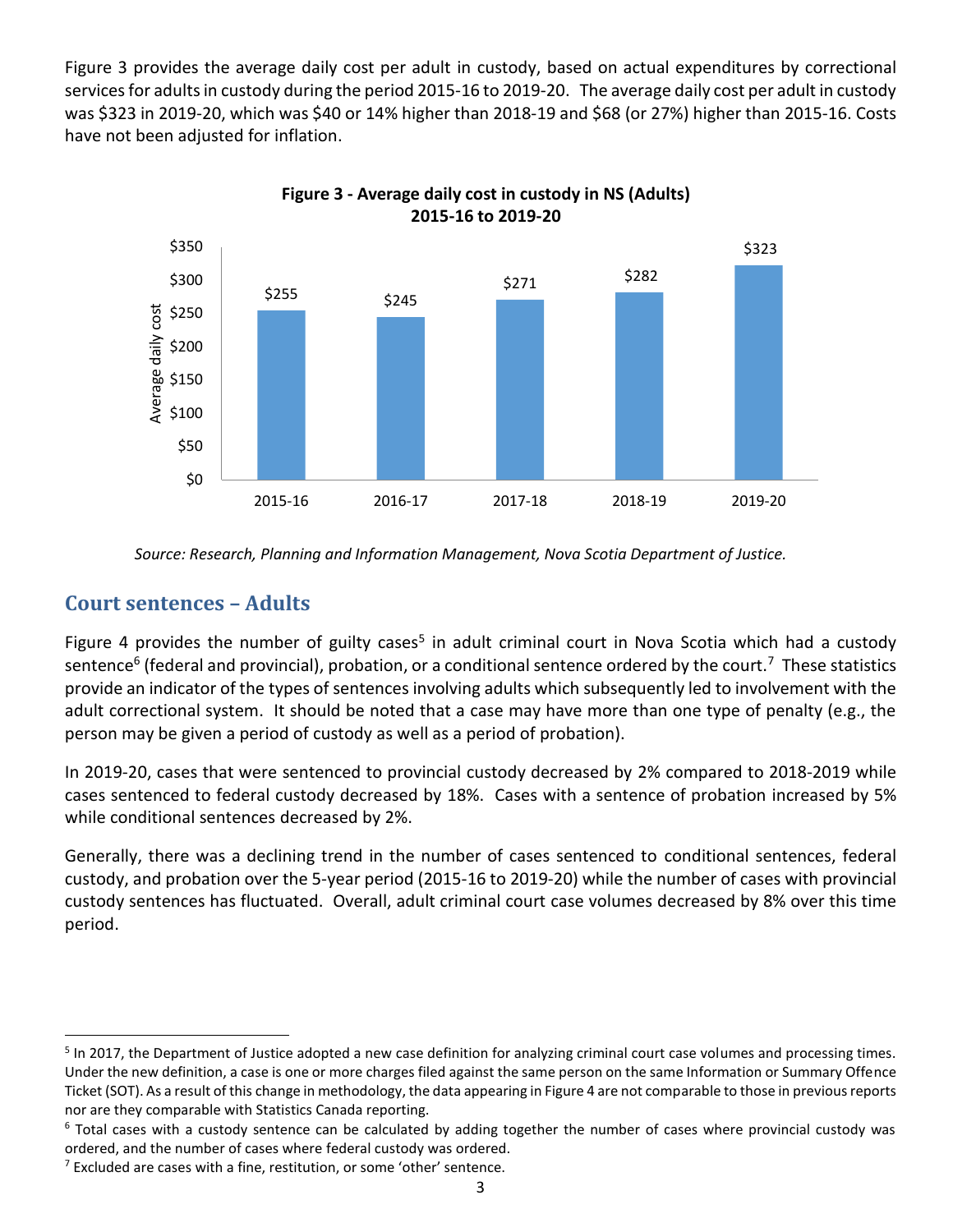Figure 3 provides the average daily cost per adult in custody, based on actual expenditures by correctional services for adults in custody during the period 2015-16 to 2019-20. The average daily cost per adult in custody was \$323 in 2019-20, which was \$40 or 14% higher than 2018-19 and \$68 (or 27%) higher than 2015-16. Costs have not been adjusted for inflation.



**Figure 3 - Average daily cost in custody in NS (Adults)**

 *Source: Research, Planning and Information Management, Nova Scotia Department of Justice.*

#### **Court sentences – Adults**

Figure 4 provides the number of guilty cases<sup>5</sup> in adult criminal court in Nova Scotia which had a custody sentence<sup>6</sup> (federal and provincial), probation, or a conditional sentence ordered by the court.<sup>7</sup> These statistics provide an indicator of the types of sentences involving adults which subsequently led to involvement with the adult correctional system. It should be noted that a case may have more than one type of penalty (e.g., the person may be given a period of custody as well as a period of probation).

In 2019-20, cases that were sentenced to provincial custody decreased by 2% compared to 2018-2019 while cases sentenced to federal custody decreased by 18%. Cases with a sentence of probation increased by 5% while conditional sentences decreased by 2%.

Generally, there was a declining trend in the number of cases sentenced to conditional sentences, federal custody, and probation over the 5-year period (2015-16 to 2019-20) while the number of cases with provincial custody sentences has fluctuated. Overall, adult criminal court case volumes decreased by 8% over this time period.

<sup>&</sup>lt;sup>5</sup> In 2017, the Department of Justice adopted a new case definition for analyzing criminal court case volumes and processing times. Under the new definition, a case is one or more charges filed against the same person on the same Information or Summary Offence Ticket (SOT). As a result of this change in methodology, the data appearing in Figure 4 are not comparable to those in previous reports nor are they comparable with Statistics Canada reporting.

 $6$  Total cases with a custody sentence can be calculated by adding together the number of cases where provincial custody was ordered, and the number of cases where federal custody was ordered.

 $<sup>7</sup>$  Excluded are cases with a fine, restitution, or some 'other' sentence.</sup>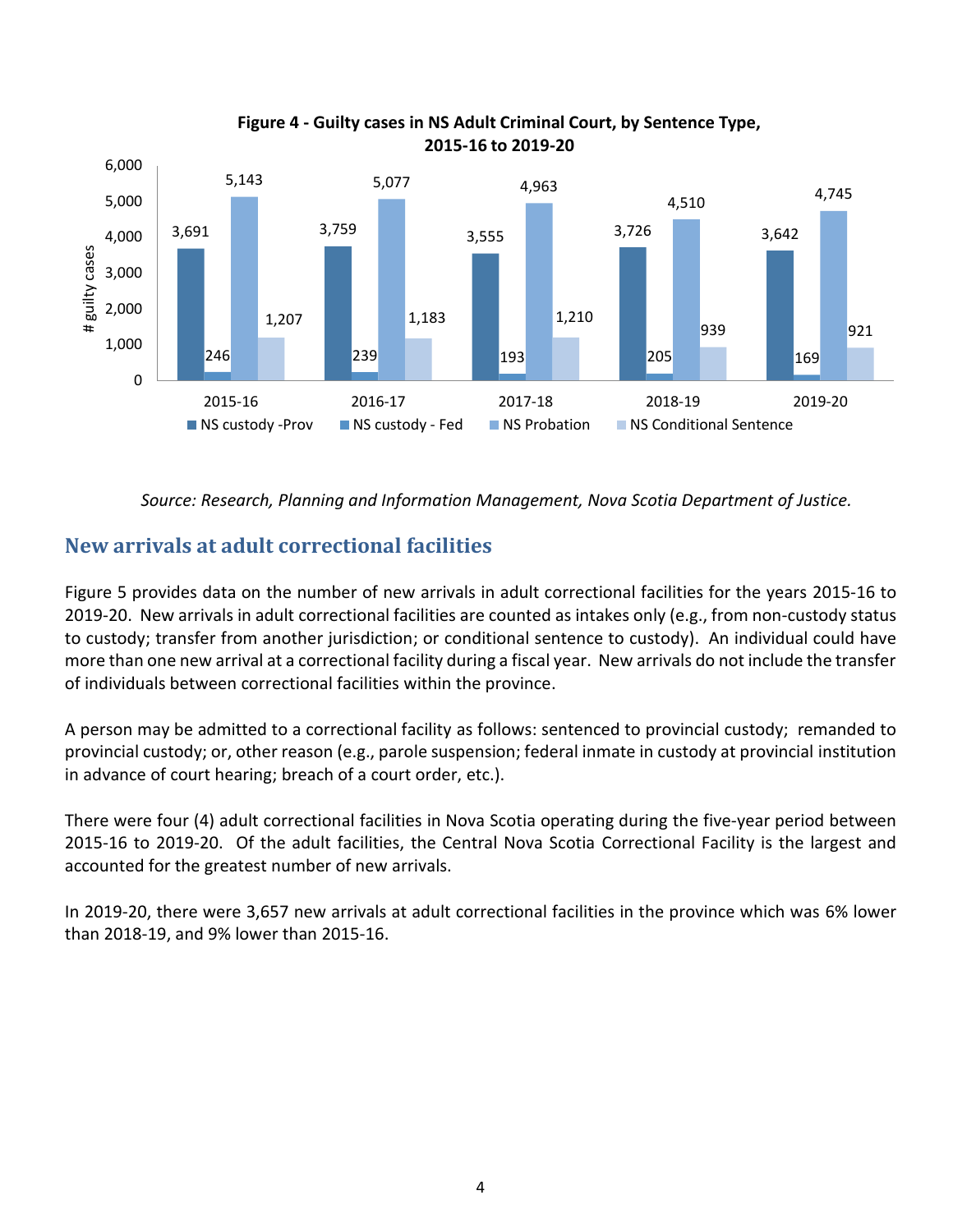

**Figure 4 - Guilty cases in NS Adult Criminal Court, by Sentence Type, 2015-16 to 2019-20**

 *Source: Research, Planning and Information Management, Nova Scotia Department of Justice.*

## **New arrivals at adult correctional facilities**

Figure 5 provides data on the number of new arrivals in adult correctional facilities for the years 2015-16 to 2019-20. New arrivals in adult correctional facilities are counted as intakes only (e.g., from non-custody status to custody; transfer from another jurisdiction; or conditional sentence to custody). An individual could have more than one new arrival at a correctional facility during a fiscal year. New arrivals do not include the transfer of individuals between correctional facilities within the province.

A person may be admitted to a correctional facility as follows: sentenced to provincial custody; remanded to provincial custody; or, other reason (e.g., parole suspension; federal inmate in custody at provincial institution in advance of court hearing; breach of a court order, etc.).

There were four (4) adult correctional facilities in Nova Scotia operating during the five-year period between 2015-16 to 2019-20. Of the adult facilities, the Central Nova Scotia Correctional Facility is the largest and accounted for the greatest number of new arrivals.

In 2019-20, there were 3,657 new arrivals at adult correctional facilities in the province which was 6% lower than 2018-19, and 9% lower than 2015-16.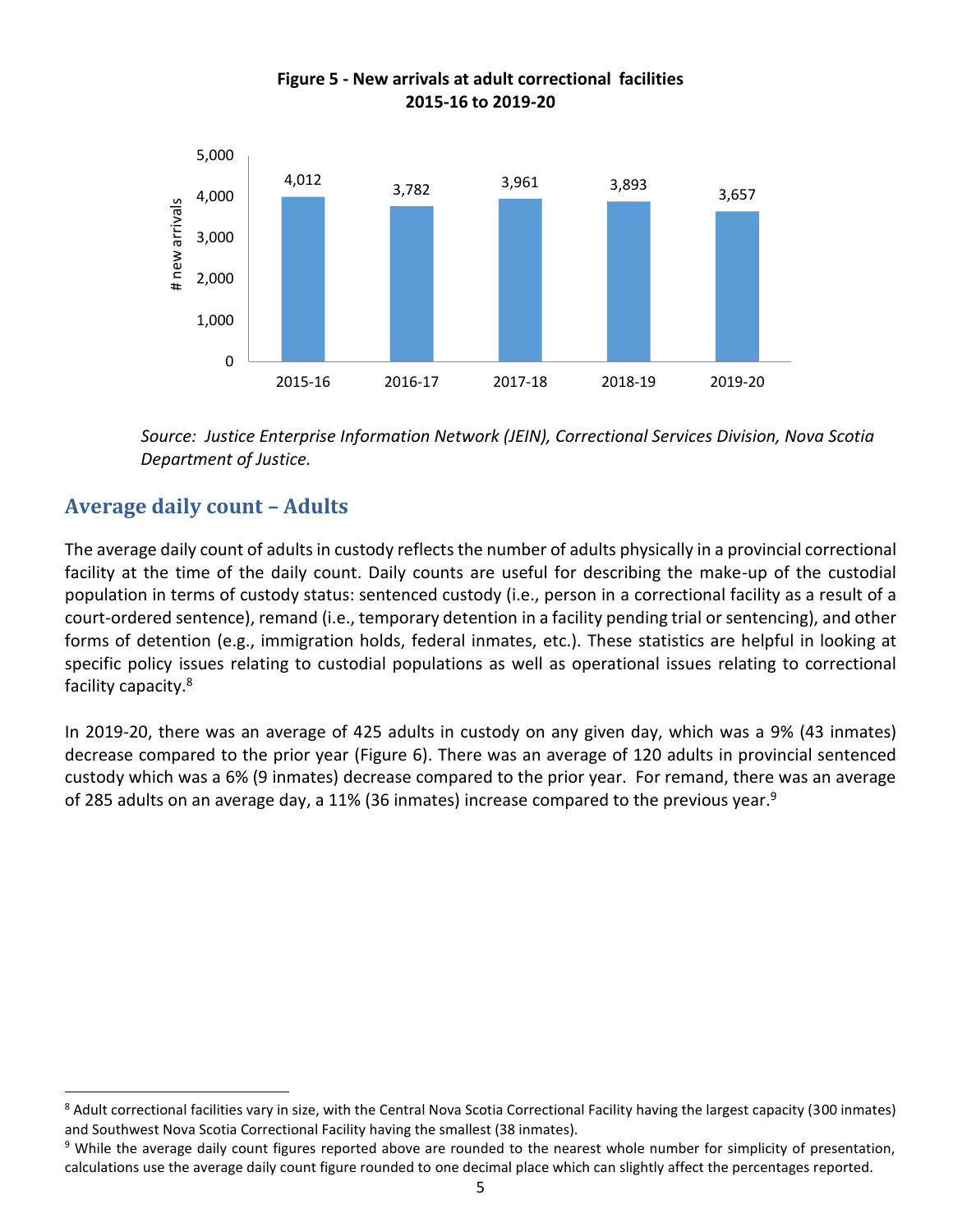

#### **Figure 5 - New arrivals at adult correctional facilities 2015-16 to 2019-20**

 *Source: Justice Enterprise Information Network (JEIN), Correctional Services Division, Nova Scotia Department of Justice.*

# **Average daily count – Adults**

The average daily count of adults in custody reflects the number of adults physically in a provincial correctional facility at the time of the daily count. Daily counts are useful for describing the make-up of the custodial population in terms of custody status: sentenced custody (i.e., person in a correctional facility as a result of a court-ordered sentence), remand (i.e., temporary detention in a facility pending trial or sentencing), and other forms of detention (e.g., immigration holds, federal inmates, etc.). These statistics are helpful in looking at specific policy issues relating to custodial populations as well as operational issues relating to correctional facility capacity.<sup>8</sup>

In 2019-20, there was an average of 425 adults in custody on any given day, which was a 9% (43 inmates) decrease compared to the prior year (Figure 6). There was an average of 120 adults in provincial sentenced custody which was a 6% (9 inmates) decrease compared to the prior year. For remand, there was an average of 285 adults on an average day, a 11% (36 inmates) increase compared to the previous year.<sup>9</sup>

<sup>8</sup> Adult correctional facilities vary in size, with the Central Nova Scotia Correctional Facility having the largest capacity (300 inmates) and Southwest Nova Scotia Correctional Facility having the smallest (38 inmates).

<sup>&</sup>lt;sup>9</sup> While the average daily count figures reported above are rounded to the nearest whole number for simplicity of presentation, calculations use the average daily count figure rounded to one decimal place which can slightly affect the percentages reported.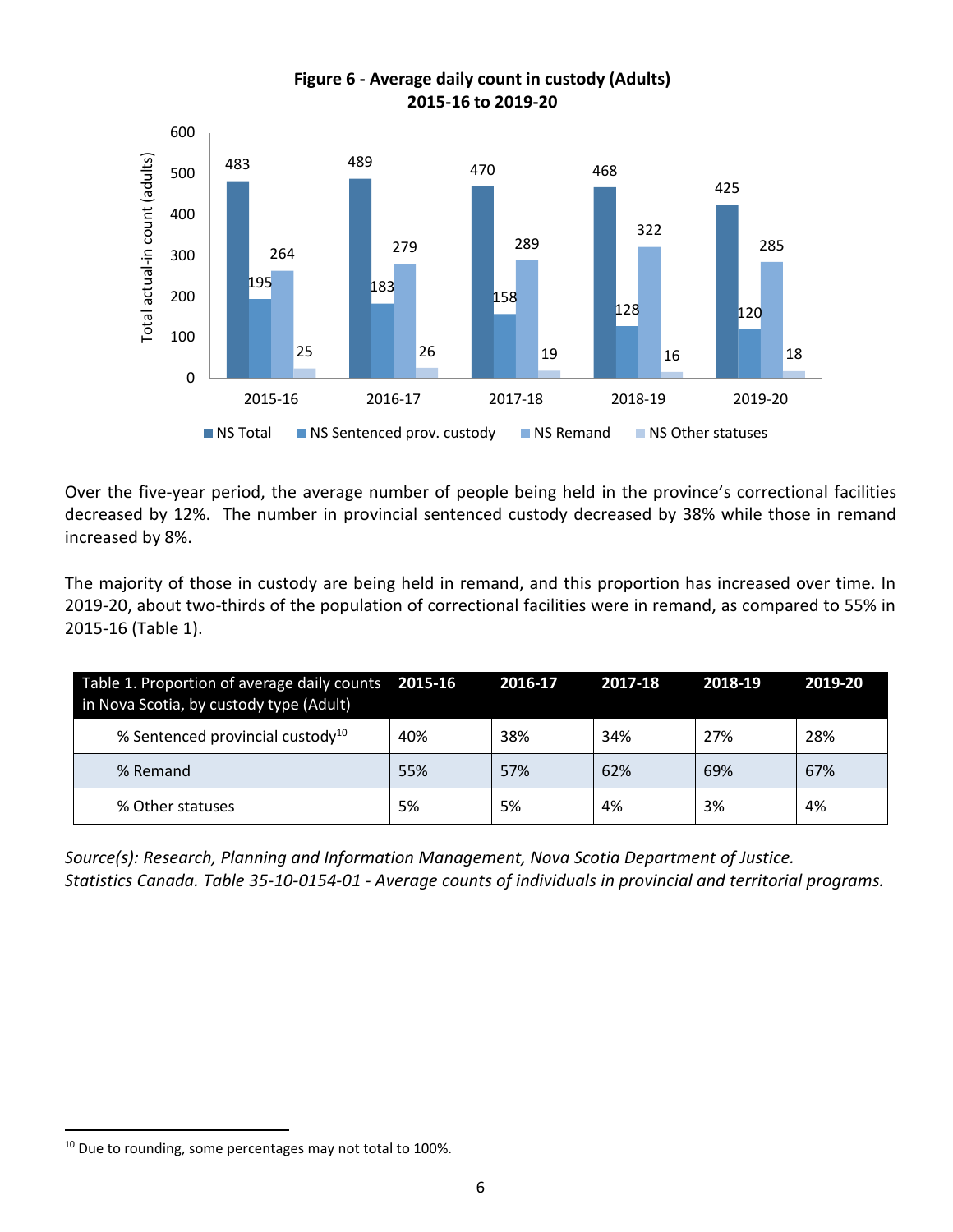

**Figure 6 - Average daily count in custody (Adults) 2015-16 to 2019-20**

Over the five-year period, the average number of people being held in the province's correctional facilities decreased by 12%. The number in provincial sentenced custody decreased by 38% while those in remand increased by 8%.

The majority of those in custody are being held in remand, and this proportion has increased over time. In 2019-20, about two-thirds of the population of correctional facilities were in remand, as compared to 55% in 2015-16 (Table 1).

| Table 1. Proportion of average daily counts 2015-16<br>in Nova Scotia, by custody type (Adult) |     | 2016-17 | 2017-18 | 2018-19 | 2019-20 |
|------------------------------------------------------------------------------------------------|-----|---------|---------|---------|---------|
| % Sentenced provincial custody <sup>10</sup>                                                   | 40% | 38%     | 34%     | 27%     | 28%     |
| % Remand                                                                                       | 55% | 57%     | 62%     | 69%     | 67%     |
| % Other statuses                                                                               | 5%  | 5%      | 4%      | 3%      | 4%      |

*Source(s): Research, Planning and Information Management, Nova Scotia Department of Justice. Statistics Canada. Table 35-10-0154-01 - Average counts of individuals in provincial and territorial programs.*

<sup>&</sup>lt;sup>10</sup> Due to rounding, some percentages may not total to 100%.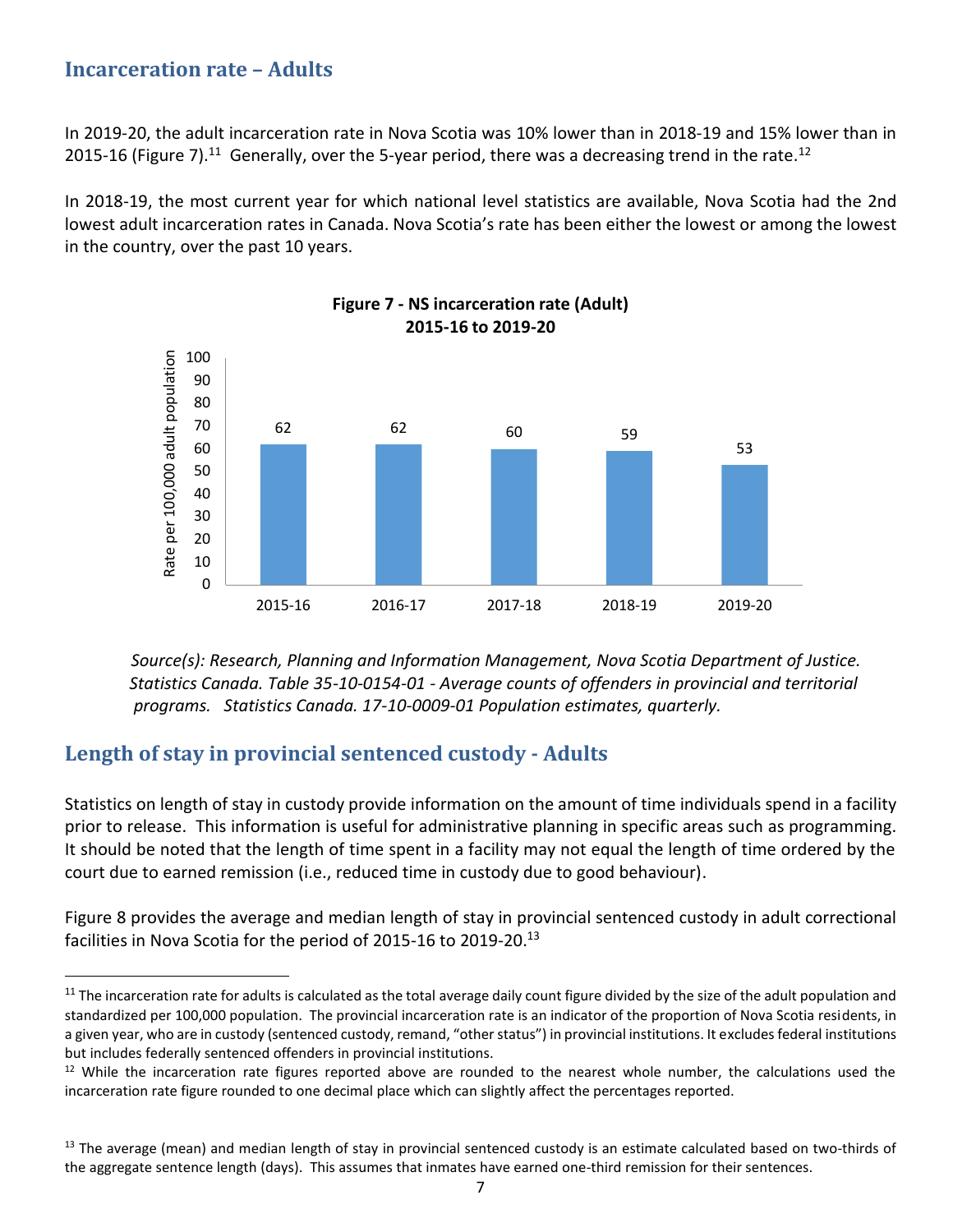#### **Incarceration rate – Adults**

In 2019-20, the adult incarceration rate in Nova Scotia was 10% lower than in 2018-19 and 15% lower than in 2015-16 (Figure 7).<sup>11</sup> Generally, over the 5-year period, there was a decreasing trend in the rate.<sup>12</sup>

In 2018-19, the most current year for which national level statistics are available, Nova Scotia had the 2nd lowest adult incarceration rates in Canada. Nova Scotia's rate has been either the lowest or among the lowest in the country, over the past 10 years.



**Figure 7 - NS incarceration rate (Adult) 2015-16 to 2019-20**

*Source(s): Research, Planning and Information Management, Nova Scotia Department of Justice. Statistics Canada. Table 35-10-0154-01 - Average counts of offenders in provincial and territorial programs. Statistics Canada. 17-10-0009-01 Population estimates, quarterly.* 

## **Length of stay in provincial sentenced custody - Adults**

Statistics on length of stay in custody provide information on the amount of time individuals spend in a facility prior to release. This information is useful for administrative planning in specific areas such as programming. It should be noted that the length of time spent in a facility may not equal the length of time ordered by the court due to earned remission (i.e., reduced time in custody due to good behaviour).

Figure 8 provides the average and median length of stay in provincial sentenced custody in adult correctional facilities in Nova Scotia for the period of 2015-16 to 2019-20.<sup>13</sup>

<sup>&</sup>lt;sup>11</sup> The incarceration rate for adults is calculated as the total average daily count figure divided by the size of the adult population and standardized per 100,000 population. The provincial incarceration rate is an indicator of the proportion of Nova Scotia residents, in a given year, who are in custody (sentenced custody, remand, "other status") in provincial institutions. It excludes federal institutions but includes federally sentenced offenders in provincial institutions.

 $12$  While the incarceration rate figures reported above are rounded to the nearest whole number, the calculations used the incarceration rate figure rounded to one decimal place which can slightly affect the percentages reported.

<sup>&</sup>lt;sup>13</sup> The average (mean) and median length of stay in provincial sentenced custody is an estimate calculated based on two-thirds of the aggregate sentence length (days). This assumes that inmates have earned one-third remission for their sentences.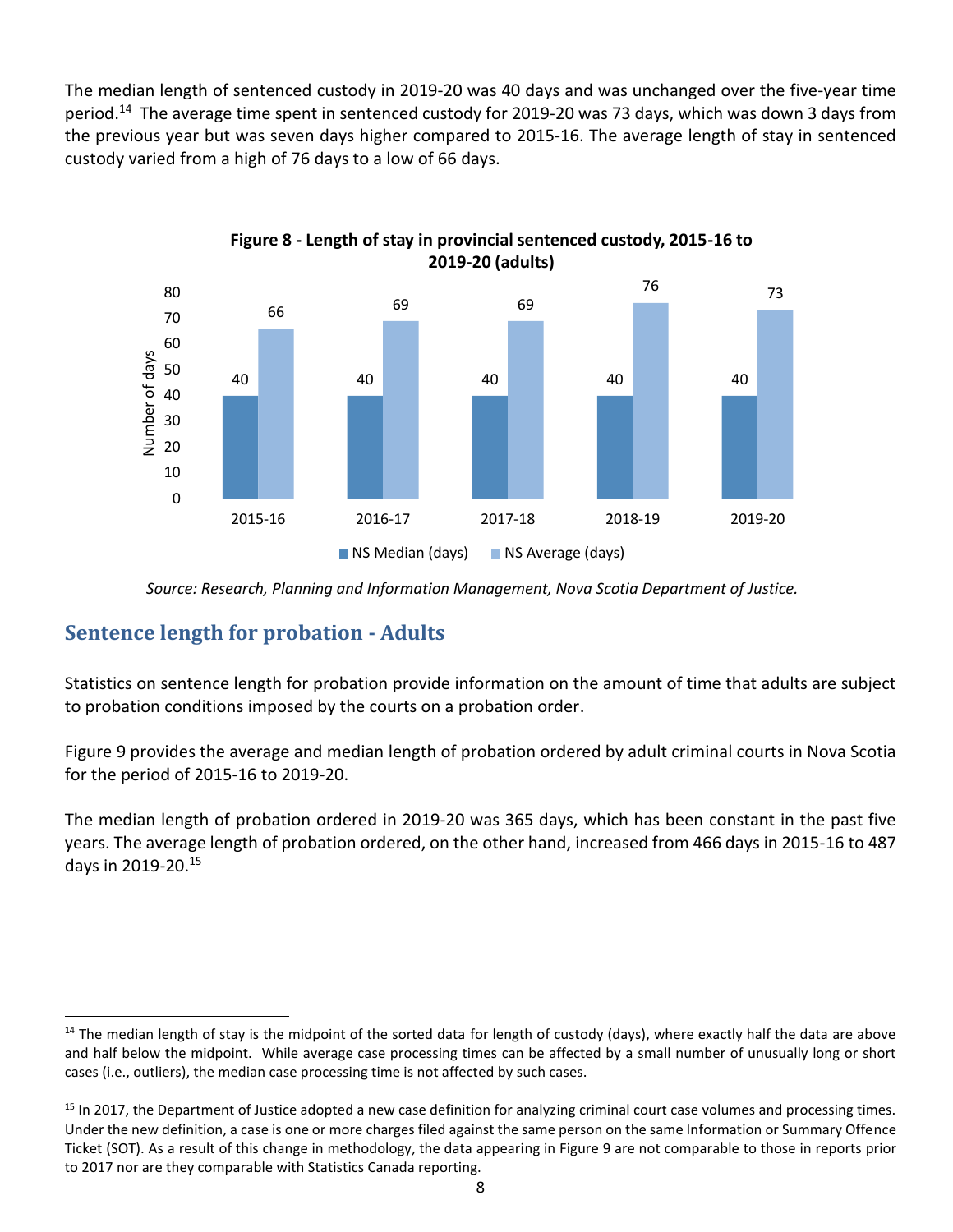The median length of sentenced custody in 2019-20 was 40 days and was unchanged over the five-year time period.<sup>14</sup> The average time spent in sentenced custody for 2019-20 was 73 days, which was down 3 days from the previous year but was seven days higher compared to 2015-16. The average length of stay in sentenced custody varied from a high of 76 days to a low of 66 days.



 *Source: Research, Planning and Information Management, Nova Scotia Department of Justice.*

#### **Sentence length for probation - Adults**

Statistics on sentence length for probation provide information on the amount of time that adults are subject to probation conditions imposed by the courts on a probation order.

Figure 9 provides the average and median length of probation ordered by adult criminal courts in Nova Scotia for the period of 2015-16 to 2019-20.

The median length of probation ordered in 2019-20 was 365 days, which has been constant in the past five years. The average length of probation ordered, on the other hand, increased from 466 days in 2015-16 to 487 days in 2019-20. 15

<sup>&</sup>lt;sup>14</sup> The median length of stay is the midpoint of the sorted data for length of custody (days), where exactly half the data are above and half below the midpoint. While average case processing times can be affected by a small number of unusually long or short cases (i.e., outliers), the median case processing time is not affected by such cases.

<sup>&</sup>lt;sup>15</sup> In 2017, the Department of Justice adopted a new case definition for analyzing criminal court case volumes and processing times. Under the new definition, a case is one or more charges filed against the same person on the same Information or Summary Offence Ticket (SOT). As a result of this change in methodology, the data appearing in Figure 9 are not comparable to those in reports prior to 2017 nor are they comparable with Statistics Canada reporting.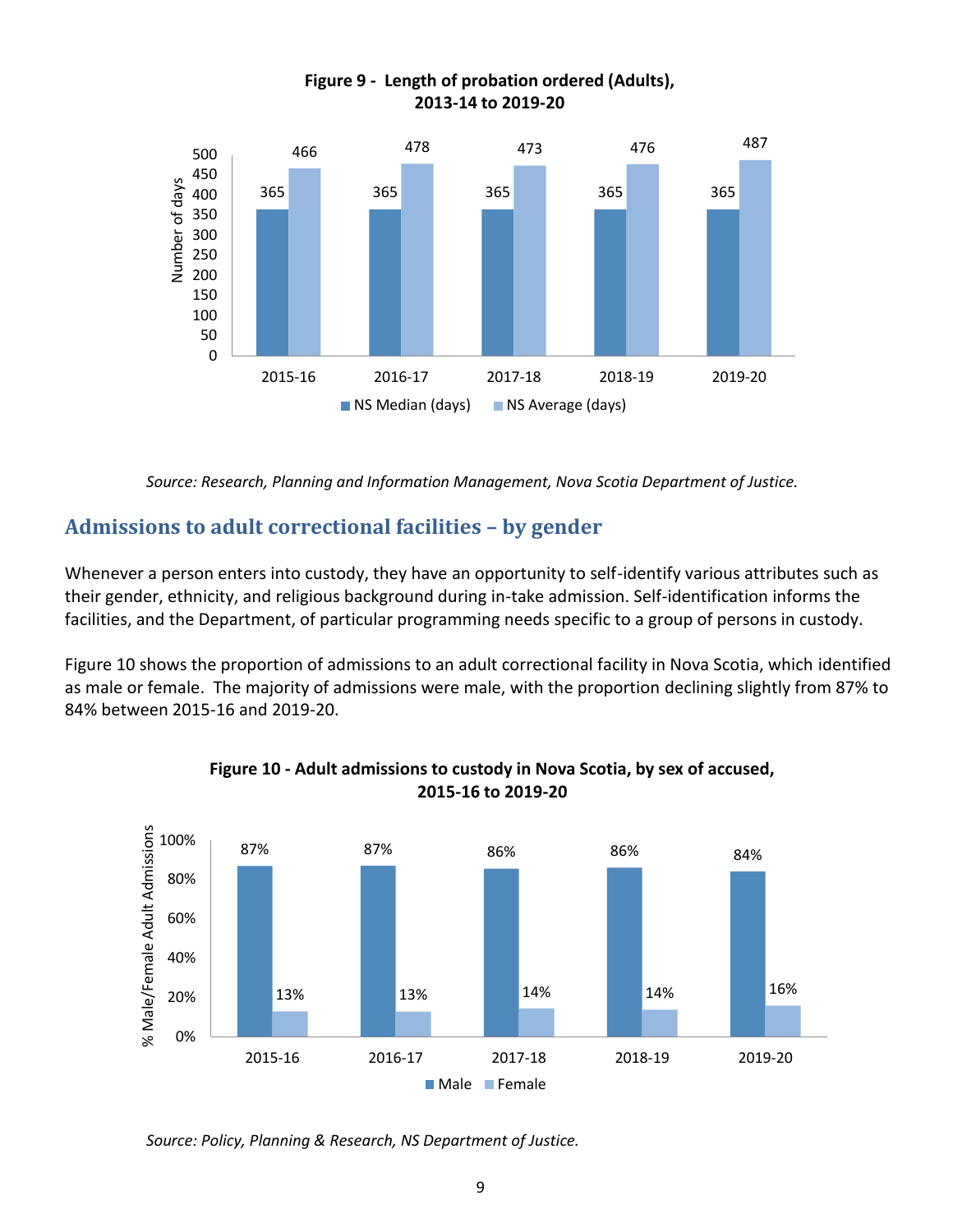

#### **Figure 9 - Length of probation ordered (Adults), 2013-14 to 2019-20**

 *Source: Research, Planning and Information Management, Nova Scotia Department of Justice.*

## **Admissions to adult correctional facilities – by gender**

Whenever a person enters into custody, they have an opportunity to self-identify various attributes such as their gender, ethnicity, and religious background during in-take admission. Self-identification informs the facilities, and the Department, of particular programming needs specific to a group of persons in custody.

Figure 10 shows the proportion of admissions to an adult correctional facility in Nova Scotia, which identified as male or female. The majority of admissions were male, with the proportion declining slightly from 87% to 84% between 2015-16 and 2019-20.



#### **Figure 10 - Adult admissions to custody in Nova Scotia, by sex of accused, 2015-16 to 2019-20**

 *Source: Policy, Planning & Research, NS Department of Justice.*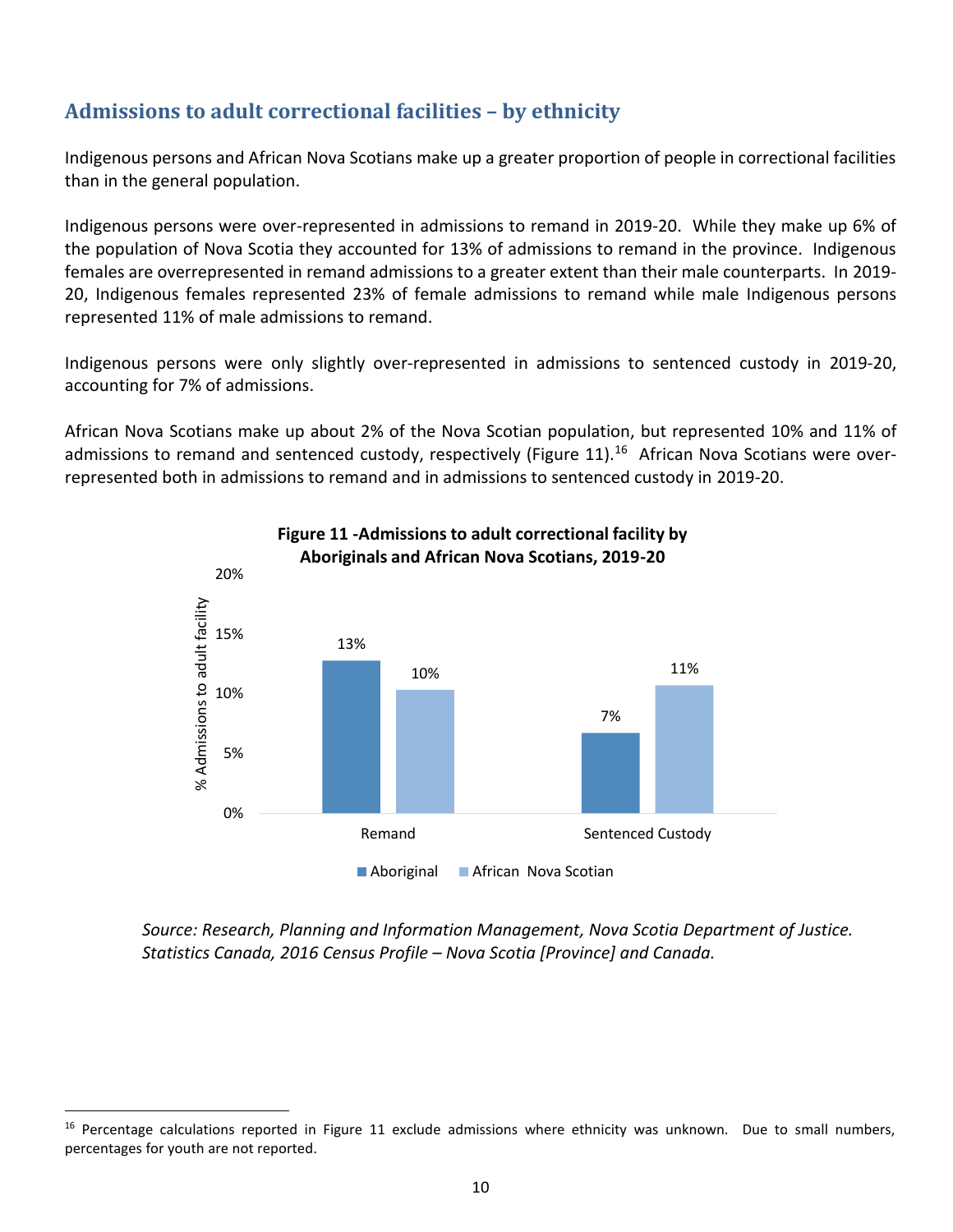## **Admissions to adult correctional facilities – by ethnicity**

Indigenous persons and African Nova Scotians make up a greater proportion of people in correctional facilities than in the general population.

Indigenous persons were over-represented in admissions to remand in 2019-20. While they make up 6% of the population of Nova Scotia they accounted for 13% of admissions to remand in the province. Indigenous females are overrepresented in remand admissions to a greater extent than their male counterparts. In 2019- 20, Indigenous females represented 23% of female admissions to remand while male Indigenous persons represented 11% of male admissions to remand.

Indigenous persons were only slightly over-represented in admissions to sentenced custody in 2019-20, accounting for 7% of admissions.

African Nova Scotians make up about 2% of the Nova Scotian population, but represented 10% and 11% of admissions to remand and sentenced custody, respectively (Figure 11).<sup>16</sup> African Nova Scotians were overrepresented both in admissions to remand and in admissions to sentenced custody in 2019-20.



#### **Figure 11 -Admissions to adult correctional facility by Aboriginals and African Nova Scotians, 2019-20**

 *Source: Research, Planning and Information Management, Nova Scotia Department of Justice. Statistics Canada, 2016 Census Profile – Nova Scotia [Province] and Canada.*

 $16$  Percentage calculations reported in Figure 11 exclude admissions where ethnicity was unknown. Due to small numbers, percentages for youth are not reported.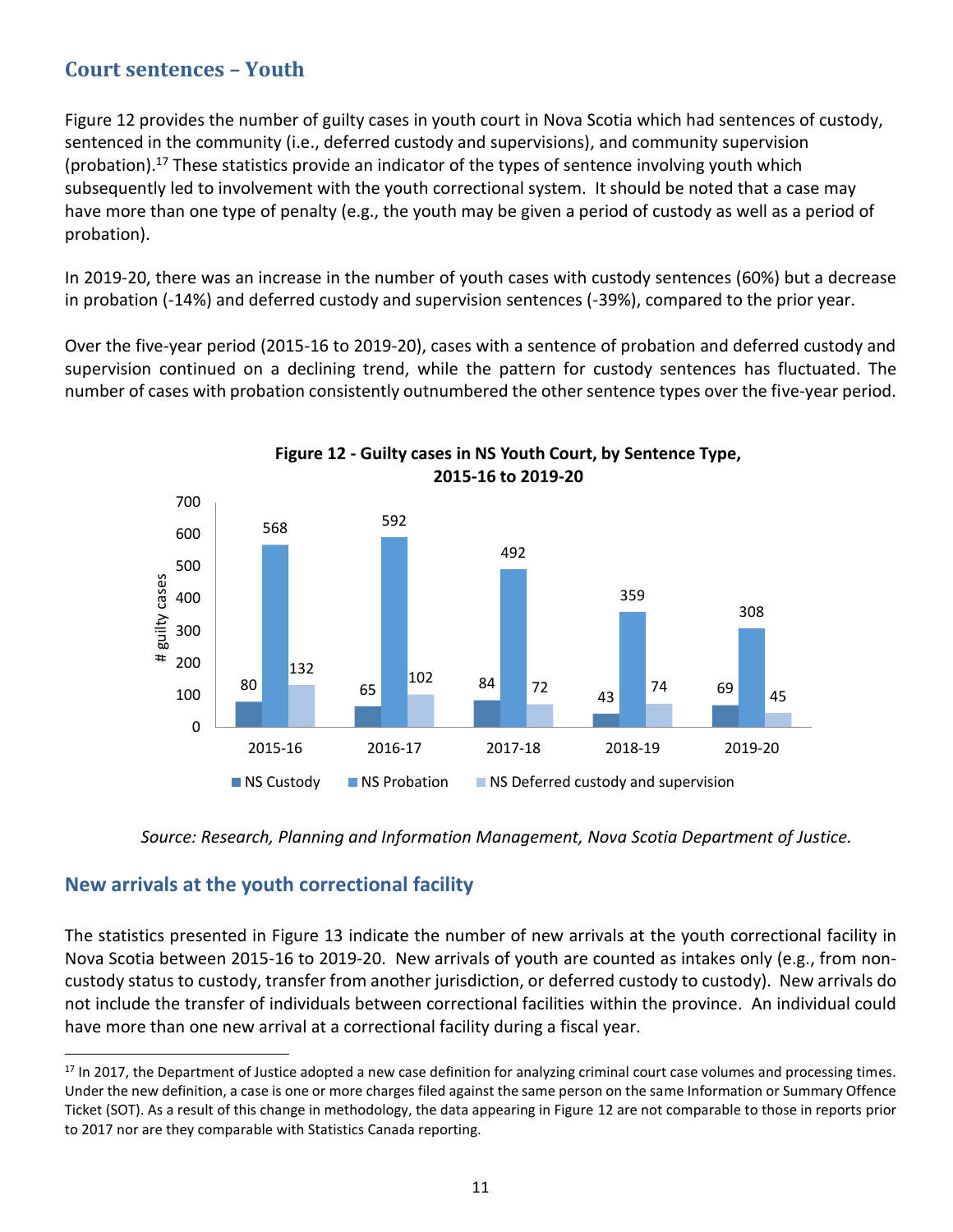## **Court sentences – Youth**

Figure 12 provides the number of guilty cases in youth court in Nova Scotia which had sentences of custody, sentenced in the community (i.e., deferred custody and supervisions), and community supervision (probation). <sup>17</sup> These statistics provide an indicator of the types of sentence involving youth which subsequently led to involvement with the youth correctional system. It should be noted that a case may have more than one type of penalty (e.g., the youth may be given a period of custody as well as a period of probation).

In 2019-20, there was an increase in the number of youth cases with custody sentences (60%) but a decrease in probation (-14%) and deferred custody and supervision sentences (-39%), compared to the prior year.

Over the five-year period (2015-16 to 2019-20), cases with a sentence of probation and deferred custody and supervision continued on a declining trend, while the pattern for custody sentences has fluctuated. The number of cases with probation consistently outnumbered the other sentence types over the five-year period.



**Figure 12 - Guilty cases in NS Youth Court, by Sentence Type, 2015-16 to 2019-20**

 *Source: Research, Planning and Information Management, Nova Scotia Department of Justice.*

#### **New arrivals at the youth correctional facility**

The statistics presented in Figure 13 indicate the number of new arrivals at the youth correctional facility in Nova Scotia between 2015-16 to 2019-20. New arrivals of youth are counted as intakes only (e.g., from noncustody status to custody, transfer from another jurisdiction, or deferred custody to custody). New arrivals do not include the transfer of individuals between correctional facilities within the province. An individual could have more than one new arrival at a correctional facility during a fiscal year.

 $17$  In 2017, the Department of Justice adopted a new case definition for analyzing criminal court case volumes and processing times. Under the new definition, a case is one or more charges filed against the same person on the same Information or Summary Offence Ticket (SOT). As a result of this change in methodology, the data appearing in Figure 12 are not comparable to those in reports prior to 2017 nor are they comparable with Statistics Canada reporting.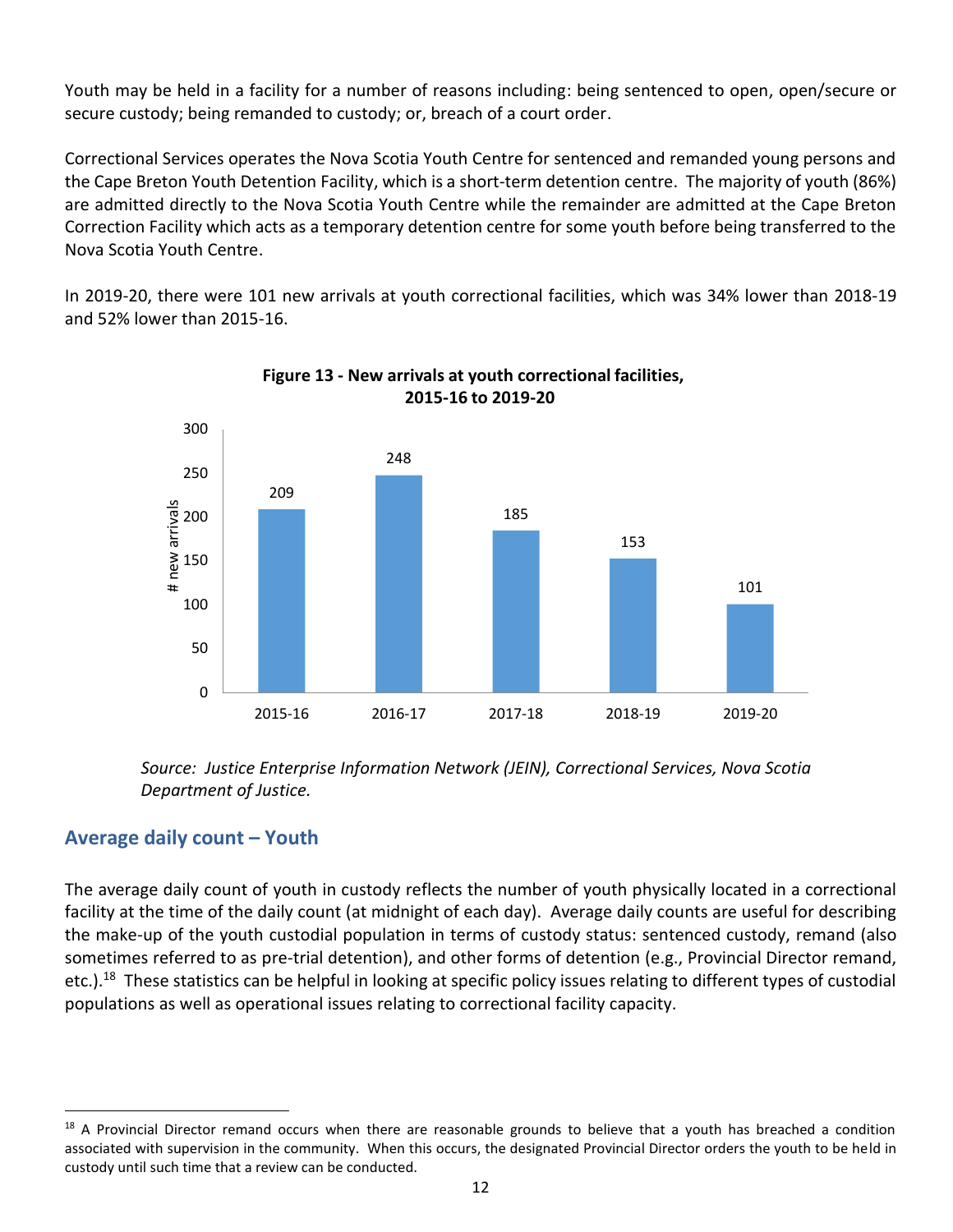Youth may be held in a facility for a number of reasons including: being sentenced to open, open/secure or secure custody; being remanded to custody; or, breach of a court order.

Correctional Services operates the Nova Scotia Youth Centre for sentenced and remanded young persons and the Cape Breton Youth Detention Facility, which is a short-term detention centre. The majority of youth (86%) are admitted directly to the Nova Scotia Youth Centre while the remainder are admitted at the Cape Breton Correction Facility which acts as a temporary detention centre for some youth before being transferred to the Nova Scotia Youth Centre.

In 2019-20, there were 101 new arrivals at youth correctional facilities, which was 34% lower than 2018-19 and 52% lower than 2015-16.



**Figure 13 - New arrivals at youth correctional facilities, 2015-16 to 2019-20**

 *Source: Justice Enterprise Information Network (JEIN), Correctional Services, Nova Scotia Department of Justice.*

## **Average daily count – Youth**

The average daily count of youth in custody reflects the number of youth physically located in a correctional facility at the time of the daily count (at midnight of each day). Average daily counts are useful for describing the make-up of the youth custodial population in terms of custody status: sentenced custody, remand (also sometimes referred to as pre-trial detention), and other forms of detention (e.g., Provincial Director remand, etc.).<sup>18</sup> These statistics can be helpful in looking at specific policy issues relating to different types of custodial populations as well as operational issues relating to correctional facility capacity.

 $18$  A Provincial Director remand occurs when there are reasonable grounds to believe that a youth has breached a condition associated with supervision in the community. When this occurs, the designated Provincial Director orders the youth to be held in custody until such time that a review can be conducted.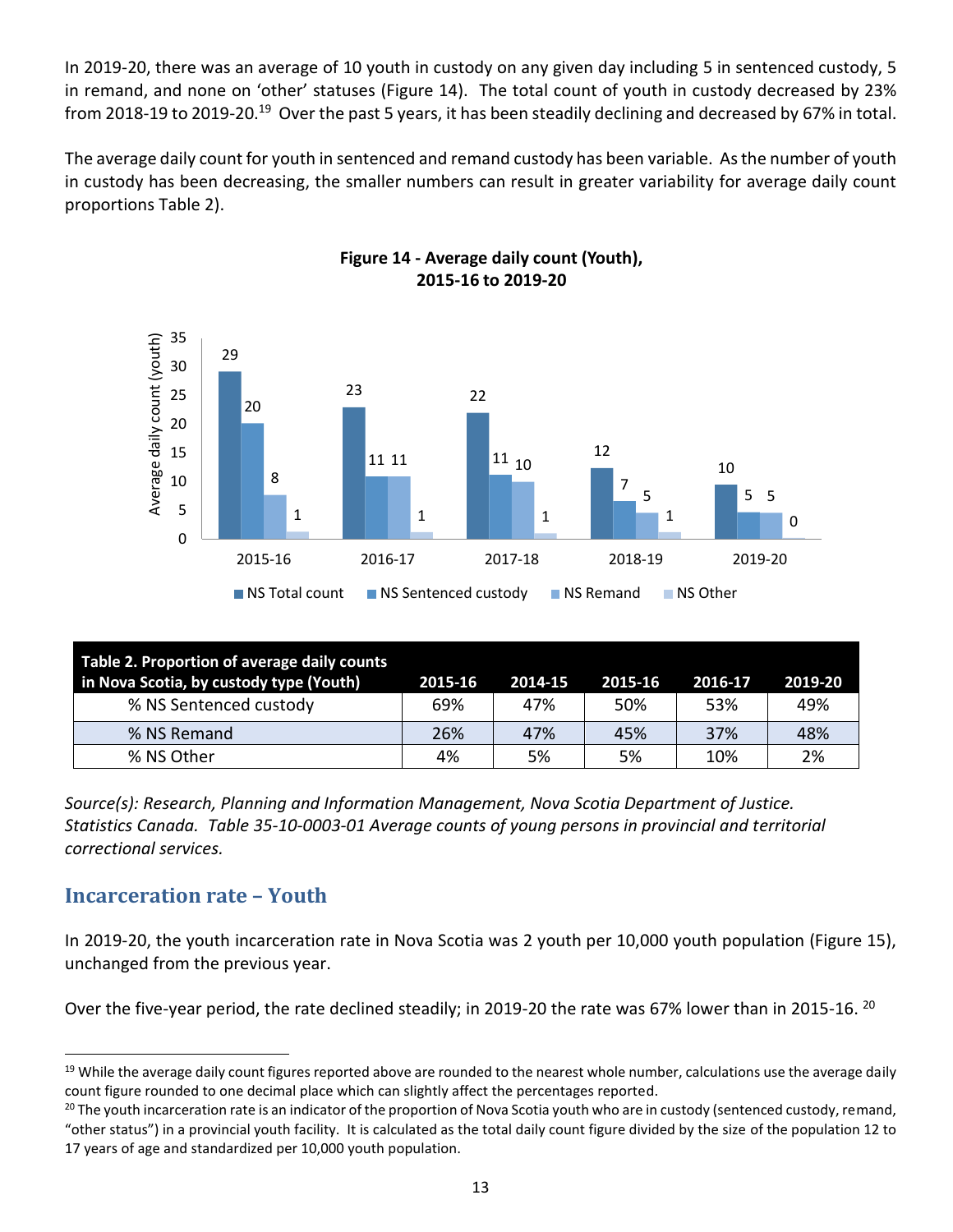In 2019-20, there was an average of 10 youth in custody on any given day including 5 in sentenced custody, 5 in remand, and none on 'other' statuses (Figure 14). The total count of youth in custody decreased by 23% from 2018-19 to 2019-20.<sup>19</sup> Over the past 5 years, it has been steadily declining and decreased by 67% in total.

The average daily count for youth in sentenced and remand custody has been variable. As the number of youth in custody has been decreasing, the smaller numbers can result in greater variability for average daily count proportions Table 2).



**Figure 14 - Average daily count (Youth), 2015-16 to 2019-20**

| Table 2. Proportion of average daily counts<br>in Nova Scotia, by custody type (Youth) | 2015-16 | 2014-15 | 2015-16 | 2016-17 | 2019-20 |
|----------------------------------------------------------------------------------------|---------|---------|---------|---------|---------|
| % NS Sentenced custody                                                                 | 69%     | 47%     | 50%     | 53%     | 49%     |
| % NS Remand                                                                            | 26%     | 47%     | 45%     | 37%     | 48%     |
| % NS Other                                                                             | 4%      | 5%      | 5%      | 10%     | 2%      |

*Source(s): Research, Planning and Information Management, Nova Scotia Department of Justice. Statistics Canada. Table 35-10-0003-01 Average counts of young persons in provincial and territorial correctional services.*

## **Incarceration rate – Youth**

In 2019-20, the youth incarceration rate in Nova Scotia was 2 youth per 10,000 youth population (Figure 15), unchanged from the previous year.

Over the five-year period, the rate declined steadily; in 2019-20 the rate was 67% lower than in 2015-16. <sup>20</sup>

 $19$  While the average daily count figures reported above are rounded to the nearest whole number, calculations use the average daily count figure rounded to one decimal place which can slightly affect the percentages reported.

<sup>&</sup>lt;sup>20</sup> The youth incarceration rate is an indicator of the proportion of Nova Scotia youth who are in custody (sentenced custody, remand, "other status") in a provincial youth facility. It is calculated as the total daily count figure divided by the size of the population 12 to 17 years of age and standardized per 10,000 youth population.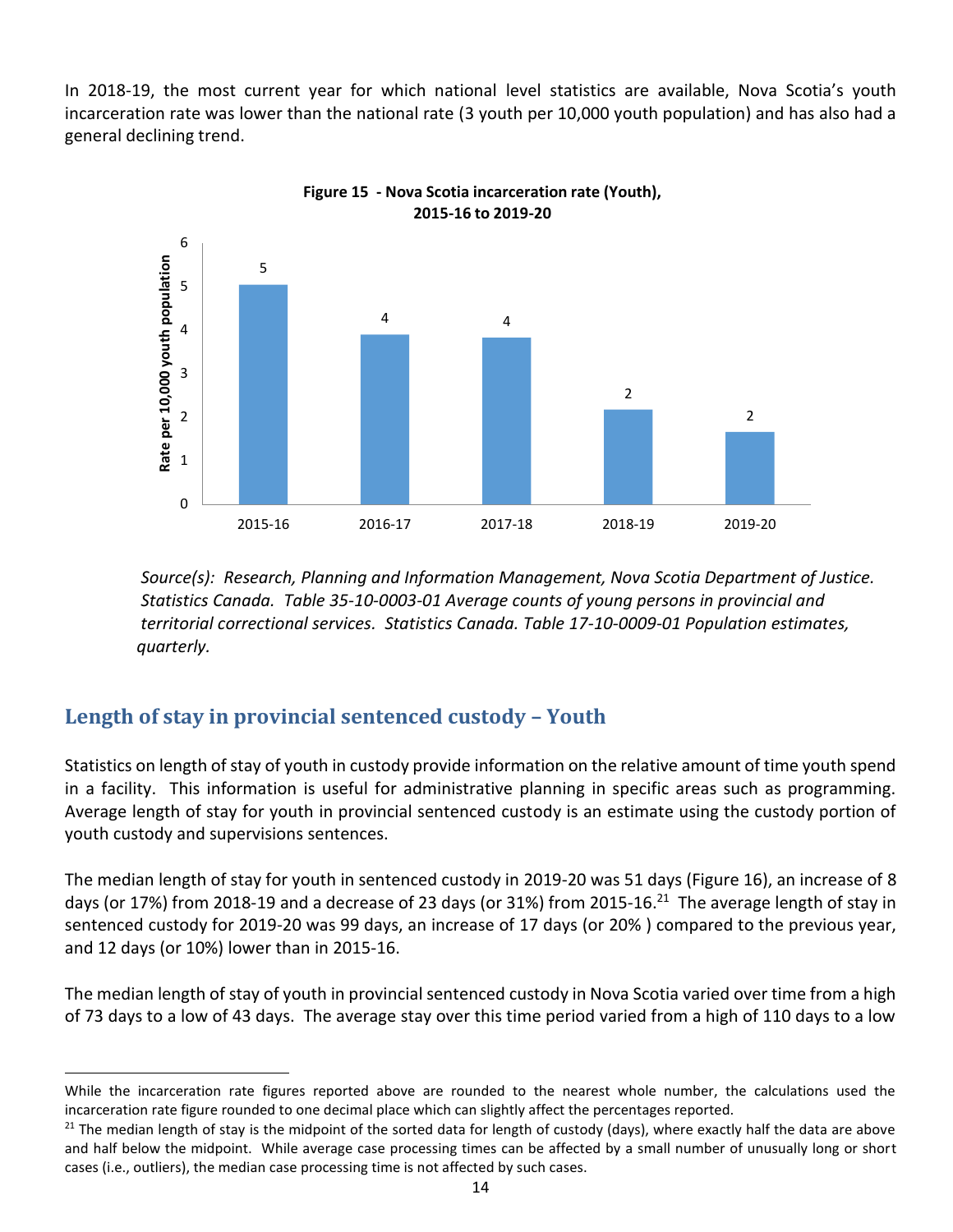In 2018-19, the most current year for which national level statistics are available, Nova Scotia's youth incarceration rate was lower than the national rate (3 youth per 10,000 youth population) and has also had a general declining trend.



 *Source(s): Research, Planning and Information Management, Nova Scotia Department of Justice. Statistics Canada. Table 35-10-0003-01 Average counts of young persons in provincial and territorial correctional services. Statistics Canada. Table 17-10-0009-01 Population estimates, quarterly.* 

## **Length of stay in provincial sentenced custody – Youth**

Statistics on length of stay of youth in custody provide information on the relative amount of time youth spend in a facility. This information is useful for administrative planning in specific areas such as programming. Average length of stay for youth in provincial sentenced custody is an estimate using the custody portion of youth custody and supervisions sentences.

The median length of stay for youth in sentenced custody in 2019-20 was 51 days (Figure 16), an increase of 8 days (or 17%) from 2018-19 and a decrease of 23 days (or 31%) from 2015-16.<sup>21</sup> The average length of stay in sentenced custody for 2019-20 was 99 days, an increase of 17 days (or 20% ) compared to the previous year, and 12 days (or 10%) lower than in 2015-16.

The median length of stay of youth in provincial sentenced custody in Nova Scotia varied over time from a high of 73 days to a low of 43 days. The average stay over this time period varied from a high of 110 days to a low

While the incarceration rate figures reported above are rounded to the nearest whole number, the calculations used the incarceration rate figure rounded to one decimal place which can slightly affect the percentages reported.

 $21$  The median length of stay is the midpoint of the sorted data for length of custody (days), where exactly half the data are above and half below the midpoint. While average case processing times can be affected by a small number of unusually long or short cases (i.e., outliers), the median case processing time is not affected by such cases.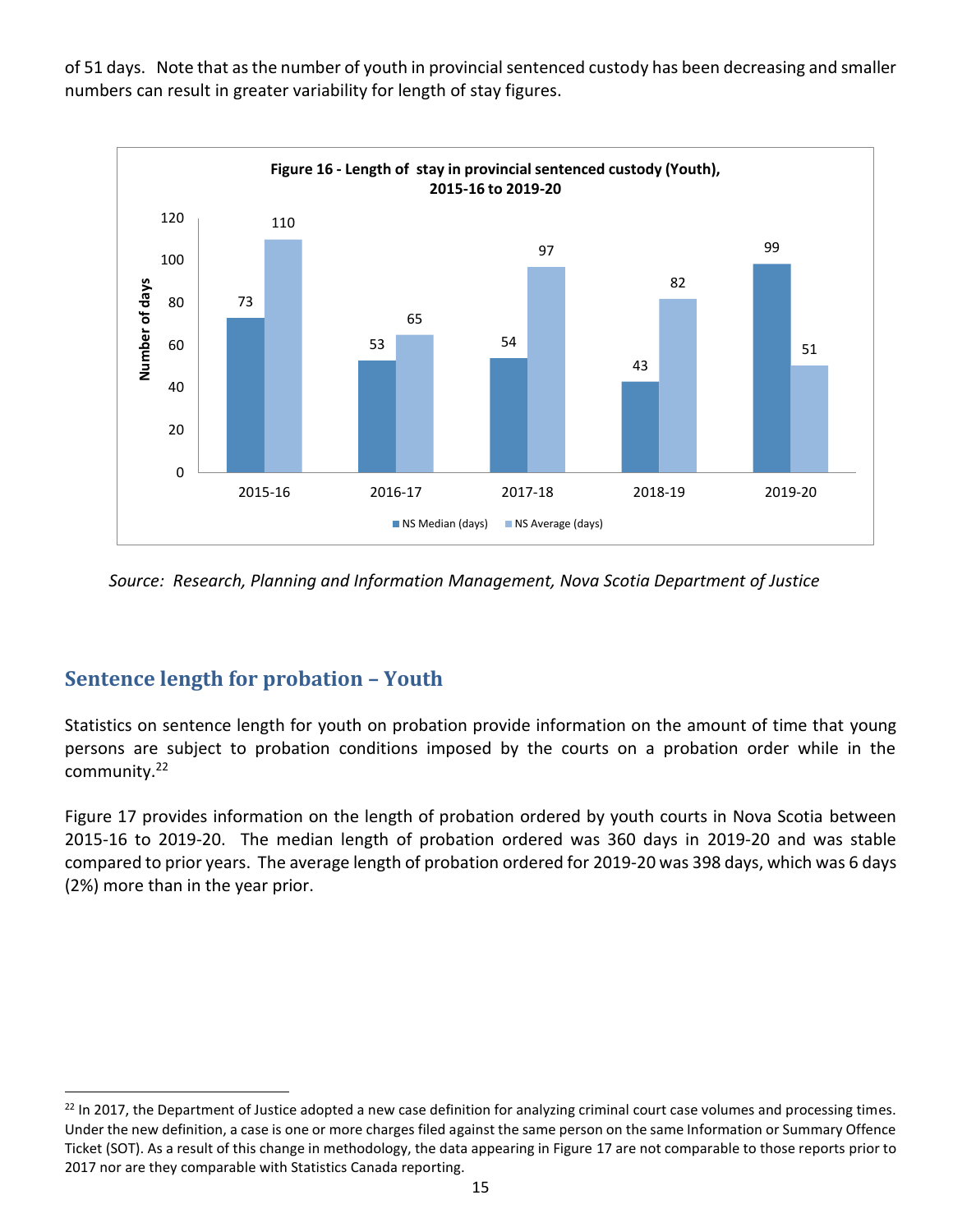

of 51 days. Note that as the number of youth in provincial sentenced custody has been decreasing and smaller numbers can result in greater variability for length of stay figures.

*Source: Research, Planning and Information Management, Nova Scotia Department of Justice*

## **Sentence length for probation – Youth**

Statistics on sentence length for youth on probation provide information on the amount of time that young persons are subject to probation conditions imposed by the courts on a probation order while in the community.<sup>22</sup>

Figure 17 provides information on the length of probation ordered by youth courts in Nova Scotia between 2015-16 to 2019-20. The median length of probation ordered was 360 days in 2019-20 and was stable compared to prior years. The average length of probation ordered for 2019-20 was 398 days, which was 6 days (2%) more than in the year prior.

<sup>&</sup>lt;sup>22</sup> In 2017, the Department of Justice adopted a new case definition for analyzing criminal court case volumes and processing times. Under the new definition, a case is one or more charges filed against the same person on the same Information or Summary Offence Ticket (SOT). As a result of this change in methodology, the data appearing in Figure 17 are not comparable to those reports prior to 2017 nor are they comparable with Statistics Canada reporting.